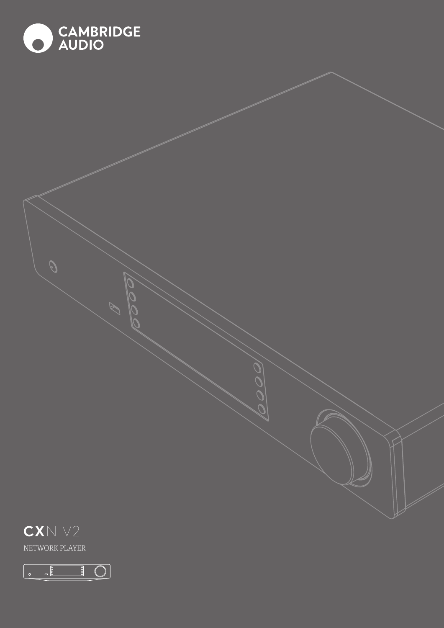

 $\boxed{\mathbb{O}}$ 

 $\overline{\frac{1}{20000}}$ 

 $\begin{array}{|c|} \hline \multicolumn{1}{c|}{\textbf{0}} & \multicolumn{1}{c|}{\textbf{0}}\\ \hline \multicolumn{1}{c|}{\textbf{0}} & \multicolumn{1}{c|}{\textbf{0}}\\ \hline \multicolumn{1}{c|}{\textbf{0}} & \multicolumn{1}{c|}{\textbf{0}}\\ \hline \multicolumn{1}{c|}{\textbf{0}} & \multicolumn{1}{c|}{\textbf{0}}\\ \hline \multicolumn{1}{c|}{\textbf{0}} & \multicolumn{1}{c|}{\textbf{0}}\\ \hline \multicolumn{1}{c|}{\textbf{0}} & \multicolumn{1$ 

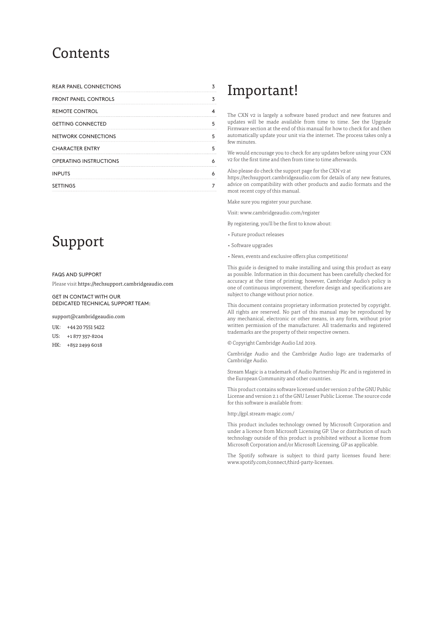# **Contents**

| <b>REAR PANEL CONNECTIONS</b> |  |
|-------------------------------|--|
| <b>FRONT PANEL CONTROLS</b>   |  |
| <b>REMOTE CONTROL</b>         |  |
| <b>GETTING CONNECTED</b>      |  |
| NETWORK CONNECTIONS           |  |
| <b>CHARACTER ENTRY</b>        |  |
| <b>OPERATING INSTRUCTIONS</b> |  |
| <b>INPUTS</b>                 |  |
| <b>SETTINGS</b>               |  |

# Support

# FAQS AND SUPPORT

Please visit https://techsupport.cambridgeaudio.com

GET IN CONTACT WITH OUR DEDICATED TECHNICAL SUPPORT TEAM:

support@cambridgeaudio.com

UK: +44 20 7551 5422

- US: +1 877 357-8204
- HK: +852 2499 6018

# Important!

The CXN v2 is largely a software based product and new features and updates will be made available from time to time. See the Upgrade Firmware section at the end of this manual for how to check for and then automatically update your unit via the internet. The process takes only a few minutes.

We would encourage you to check for any updates before using your CXN v2 for the first time and then from time to time afterwards.

Also please do check the support page for the CXN v2 at

https://techsupport.cambridgeaudio.com for details of any new features, advice on compatibility with other products and audio formats and the most recent copy of this manual.

Make sure you register your purchase.

Visit: www.cambridgeaudio.com/register

By registering, you'll be the first to know about:

- Future product releases
- Software upgrades
- News, events and exclusive offers plus competitions!

This guide is designed to make installing and using this product as easy as possible. Information in this document has been carefully checked for accuracy at the time of printing; however, Cambridge Audio's policy is one of continuous improvement, therefore design and specifications are subject to change without prior notice.

This document contains proprietary information protected by copyright. All rights are reserved. No part of this manual may be reproduced by any mechanical, electronic or other means, in any form, without prior written permission of the manufacturer. All trademarks and registered trademarks are the property of their respective owners.

© Copyright Cambridge Audio Ltd 2019.

Cambridge Audio and the Cambridge Audio logo are trademarks of Cambridge Audio.

Stream Magic is a trademark of Audio Partnership Plc and is registered in the European Community and other countries.

This product contains software licensed under version 2 of the GNU Public License and version 2.1 of the GNU Lesser Public License. The source code for this software is available from:

#### http://gpl.stream-magic.com/

This product includes technology owned by Microsoft Corporation and under a licence from Microsoft Licensing GP. Use or distribution of such technology outside of this product is prohibited without a license from Microsoft Corporation and/or Microsoft Licensing, GP as applicable.

The Spotify software is subject to third party licenses found here: www.spotify.com/connect/third-party-licenses.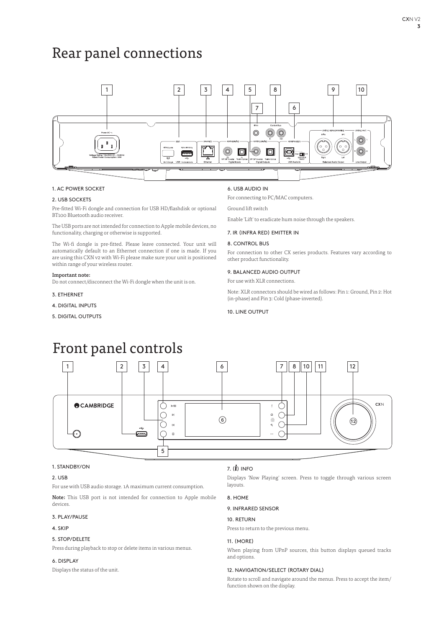# Rear panel connections



# 1. AC POWER SOCKET

# 2. USB SOCKETS

Pre-fitted Wi-Fi dongle and connection for USB HD/flashdisk or optional BT100 Bluetooth audio receiver.

The USB ports are not intended for connection to Apple mobile devices, no functionality, charging or otherwise is supported.

The Wi-fi dongle is pre-fitted. Please leave connected. Your unit will automatically default to an Ethernet connection if one is made. If you are using this CXN v2 with Wi-Fi please make sure your unit is positioned within range of your wireless router.

#### Important note:

Do not connect/disconnect the Wi-Fi dongle when the unit is on.

- 3. ETHERNET
- 4. DIGITAL INPUTS
- 5. DIGITAL OUTPUTS

# 6. USB AUDIO IN

For connecting to PC/MAC computers.

Ground lift switch

Enable 'Lift' to eradicate hum noise through the speakers.

# 7. IR (INFRA RED) EMITTER IN

# 8. CONTROL BUS

For connection to other CX series products. Features vary according to other product functionality.

### 9. BALANCED AUDIO OUTPUT

For use with XLR connections.

Note: XLR connectors should be wired as follows: Pin 1: Ground, Pin 2: Hot (in-phase) and Pin 3: Cold (phase-inverted).

#### 10. LINE OUTPUT

# Front panel controls



# 1. STANDBY/ON

# 2. USB

For use with USB audio storage. 1A maximum current consumption.

Note: This USB port is not intended for connection to Apple mobile devices.

# 3. PLAY/PAUSE

# 4. SKIP

# 5. STOP/DELETE

Press during playback to stop or delete items in various menus.

# 6. DISPLAY

Displays the status of the unit.

# 7.  $(i)$  INFO

Displays 'Now Playing' screen. Press to toggle through various screen layouts.

9. INFRARED SENSOR

### 10. RETURN

Press to return to the previous menu.

## 11. (MORE)

When playing from UPnP sources, this button displays queued tracks and options.

# 12. NAVIGATION/SELECT (ROTARY DIAL)

Rotate to scroll and navigate around the menus. Press to accept the item/ function shown on the display.

# 8. HOME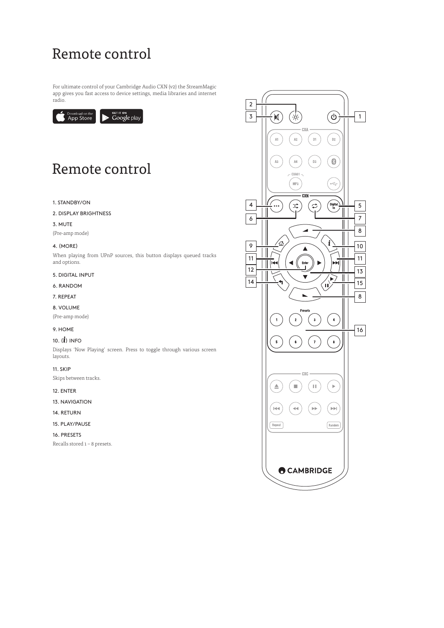# Remote control

For ultimate control of your Cambridge Audio CXN (v2) the StreamMagic app gives you fast access to device settings, media libraries and internet radio.



# Remote control

# 1. STANDBY/ON

2. DISPLAY BRIGHTNESS

# 3. MUTE

(Pre-amp mode)

# 4. (MORE)

When playing from UPnP sources, this button displays queued tracks and options.

# 5. DIGITAL INPUT

- 6. RANDOM
- 7. REPEAT

# 8. VOLUME

(Pre-amp mode)

# 9. HOME

# 10.  $(\boldsymbol{\dot{\mathit{l}}})$  INFO

Displays 'Now Playing' screen. Press to toggle through various screen layouts.

# 11. SKIP

Skips between tracks.

# 12. ENTER

13. NAVIGATION

# 14. RETURN

15. PLAY/PAUSE

# 16. PRESETS

Recalls stored 1 – 8 presets.

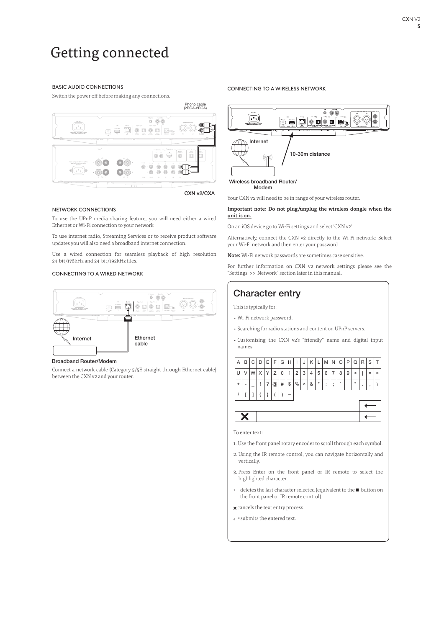# Getting connected

# BASIC AUDIO CONNECTIONS

Switch the power off before making any connections.



### CXN v2/CXA

# NETWORK CONNECTIONS

To use the UPnP media sharing feature, you will need either a wired Ethernet or Wi-Fi connection to your network

To use internet radio, Streaming Services or to receive product software updates you will also need a broadband internet connection.

Use a wired connection for seamless playback of high resolution 24-bit/176kHz and 24-bit/192kHz files.

## CONNECTING TO A WIRED NETWORK



#### Broadband Router/Modem

Connect a network cable (Category 5/5E straight through Ethernet cable) between the CXN v2 and your router.

### CONNECTING TO A WIRELESS NETWORK



Your CXN v2 will need to be in range of your wireless router.

# Important note: Do not plug/unplug the wireless dongle when the unit is on.

On an iOS device go to Wi-Fi settings and select 'CXN v2'.

Alternatively, connect the CXN v2 directly to the Wi-Fi network: Select your Wi-Fi network and then enter your password.

Note: Wi-Fi network passwords are sometimes case sensitive.

For further information on CXN v2 network settings please see the "Settings >> Network" section later in this manual.

# Character entry

This is typically for:

- Wi-Fi network password.
- Searching for radio stations and content on UPnP servers.
- Customising the CXN v2's "friendly" name and digital input names.



To enter text:

- 1. Use the front panel rotary encoder to scroll through each symbol.
- 2. Using the IR remote control, you can navigate horizontally and vertically.
- 3. Press Enter on the front panel or IR remote to select the highlighted character.
- deletes the last character selected (equivalent to the **button** on the front panel or IR remote control).
- **x** cancels the text entry process.
- submits the entered text.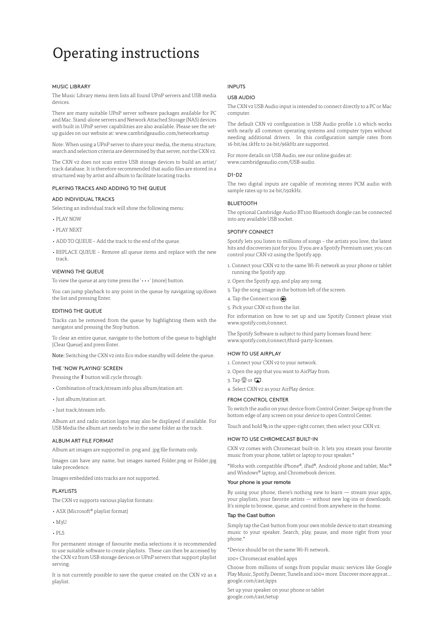# Operating instructions

## MUSIC LIBRARY

The Music Library menu item lists all found UPnP servers and USB media devices.

There are many suitable UPnP server software packages available for PC and Mac. Stand-alone servers and Network Attached Storage (NAS) devices with built in UPnP server capabilities are also available. Please see the setup guides on our website at: www.cambridgeaudio.com/networksetup

Note: When using a UPnP server to share your media, the menu structure, search and selection criteria are determined by that server, not the CXN v2.

The CXN v2 does not scan entire USB storage devices to build an artist/ track database. It is therefore recommended that audio files are stored in a structured way by artist and album to facilitate locating tracks.

### PLAYING TRACKS AND ADDING TO THE QUEUE

# ADD INDIVIDUAL TRACKS

Selecting an individual track will show the following menu:

- PLAY NOW
- PLAY NEXT
- ADD TO QUEUE Add the track to the end of the queue.
- REPLACE OUEUE Remove all queue items and replace with the new track.

#### VIEWING THE QUEUE

To view the queue at any time press the '•••' (more) button.

You can jump playback to any point in the queue by navigating up/down the list and pressing Enter.

#### EDITING THE QUEUE

Tracks can be removed from the queue by highlighting them with the navigator and pressing the Stop button.

To clear an entire queue, navigate to the bottom of the queue to highlight [Clear Queue] and press Enter.

Note: Switching the CXN v2 into Eco mdoe standby will delete the queue.

# THE 'NOW PLAYING' SCREEN

Pressing the 'i' button will cycle through:

- Combination of track/stream info plus album/station art.
- Just album/station art.
- Just track/stream info.

Album art and radio station logos may also be displayed if available. For USB Media the album art needs to be in the same folder as the track.

#### ALBUM ART FILE FORMAT

Album art images are supported in .png and .jpg file formats only.

Images can have any name, but images named Folder.png or Folder.jpg take precedence.

Images embedded into tracks are not supported.

#### PLAYLISTS

The CXN v2 supports various playlist formats:

- ASX (Microsoft® playlist format)
- $\cdot$  M<sub>2</sub>U
- $\cdot$  PLS

For permanent storage of favourite media selections it is recommended to use suitable software to create playlists. These can then be accessed by the CXN v2 from USB storage devices or UPnP servers that support playlist serving.

It is not currently possible to save the queue created on the CXN v2 as a playlist.

# INPUTS

# USB AUDIO

The CXN v2 USB Audio input is intended to connect directly to a PC or Mac computer.

The default CXN v2 configuration is USB Audio profile 1.0 which works with nearly all common operating systems and computer types without needing additional drivers. In this configuration sample rates from 16-bit/44.1kHz to 24-bit/96kHz are supported.

For more details on USB Audio, see our online guides at: www.cambridgeaudio.com/USB-audio.

#### D1-D2

The two digital inputs are capable of receiving stereo PCM audio with sample rates up to 24-bit/192kHz.

# **BLUETOOTH**

The optional Cambridge Audio BT100 Bluetooth dongle can be connected into any available USB socket.

## SPOTIFY CONNECT

Spotify lets you listen to millions of songs – the artists you love, the latest hits and discoveries just for you. If you are a Spotify Premium user, you can control your CXN v2 using the Spotify app.

- 1. Connect your CXN v2 to the same Wi-Fi network as your phone or tablet running the Spotify app.
- 2. Open the Spotify app, and play any song.
- 3. Tap the song image in the bottom left of the screen.
- 4. Tap the Connect icon  $\bigcirc$ .
- 5. Pick your CXN v2 from the list.

For information on how to set up and use Spotify Connect please visit www.spotify.com/connect.

The Spotify Software is subject to third party licenses found here: www.spotify.com/connect/third-party-licenses.

### HOW TO USE AIRPLAY

- 1. Connect your CXN v2 to your network.
- 2. Open the app that you want to AirPlay from.
- 3. Tap  $\otimes$  or  $\Box$
- 4. Select CXN v2 as your AirPlay device.

#### FROM CONTROL CENTER

To switch the audio on your device from Control Center: Swipe up from the bottom edge of any screen on your device to open Control Center.

Touch and hold  $\blacksquare$  in the upper-right corner, then select your CXN v2.

### HOW TO USE CHROMECAST BUILT-IN

CXN v2 comes with Chromecast built-in. It lets you stream your favorite music from your phone, tablet or laptop to your speaker.\*

\*Works with compatible iPhone®, iPad®, Android phone and tablet, Mac® and Windows® laptop, and Chromebook devices.

#### Your phone is your remote

By using your phone, there's nothing new to learn — stream your apps, your playlists, your favorite artists — without new log-ins or downloads. It's simple to browse, queue, and control from anywhere in the home.

### Tap the Cast button

Simply tap the Cast button from your own mobile device to start streaming music to your speaker. Search, play, pause, and more right from your phone.\*

\*Device should be on the same Wi-Fi network.

100+ Chromecast enabled apps

Choose from millions of songs from popular music services like Google Play Music, Spotify, Deezer, TuneIn and 100+ more. Discover more apps at... google.com/cast/apps

Set up your speaker on your phone or tablet google.com/cast/setup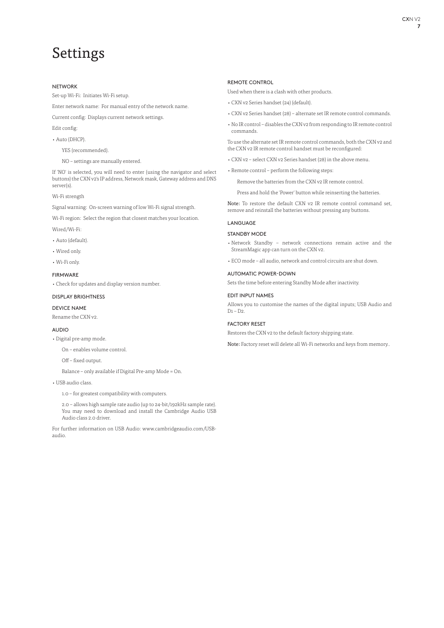# Settings

# NETWORK

Set-up Wi-Fi: Initiates Wi-Fi setup.

Enter network name: For manual entry of the network name.

Current config: Displays current network settings.

Edit config:

• Auto (DHCP).

YES (recommended).

NO – settings are manually entered.

If 'NO' is selected, you will need to enter (using the navigator and select buttons) the CXN v2's IP address, Network mask, Gateway address and DNS server(s).

# Wi-Fi strength

Signal warning: On-screen warning of low Wi-Fi signal strength.

Wi-Fi region: Select the region that closest matches your location.

Wired/Wi-Fi:

- Auto (default).
- Wired only.
- Wi-Fi only.

### FIRMWARE

• Check for updates and display version number.

# DISPLAY BRIGHTNESS

# DEVICE NAME

Rename the CXN v2.

# AUDIO

- Digital pre-amp mode.
	- On enables volume control.
	- Off fixed output.

Balance – only available if Digital Pre-amp Mode = On.

• USB audio class.

1.0 – for greatest compatibility with computers.

 2.0 – allows high sample rate audio (up to 24-bit/192kHz sample rate). You may need to download and install the Cambridge Audio USB Audio class 2.0 driver.

For further information on USB Audio: www.cambridgeaudio.com/USBaudio.

# REMOTE CONTROL

Used when there is a clash with other products.

- CXN v2 Series handset (24) (default).
- CXN v2 Series handset (28) alternate set IR remote control commands.
- No IR control disables the CXN v2 from responding to IR remote control commands.

To use the alternate set IR remote control commands, both the CXN v2 and the CXN v2 IR remote control handset must be reconfigured:

- CXN v2 select CXN v2 Series handset (28) in the above menu.
- Remote control perform the following steps:

Remove the batteries from the CXN v2 IR remote control.

Press and hold the 'Power' button while reinserting the batteries.

Note: To restore the default CXN v2 IR remote control command set, remove and reinstall the batteries without pressing any buttons.

# LANGUAGE

# STANDBY MODE

- Network Standby network connections remain active and the StreamMagic app can turn on the CXN v2.
- ECO mode all audio, network and control circuits are shut down.

# AUTOMATIC POWER-DOWN

Sets the time before entering Standby Mode after inactivity.

# EDIT INPUT NAMES

Allows you to customise the names of the digital inputs; USB Audio and D1 – D2.

# FACTORY RESET

Restores the CXN v2 to the default factory shipping state.

Note: Factory reset will delete all Wi-Fi networks and keys from memory..